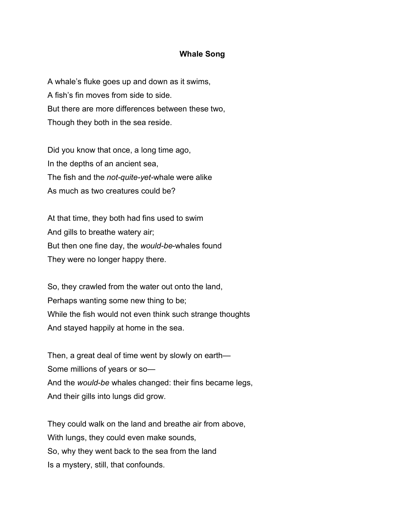## **Whale Song**

A whale's fluke goes up and down as it swims, A fish's fin moves from side to side. But there are more differences between these two, Though they both in the sea reside.

Did you know that once, a long time ago, In the depths of an ancient sea, The fish and the *not-quite-yet-*whale were alike As much as two creatures could be?

At that time, they both had fins used to swim And gills to breathe watery air; But then one fine day, the *would-be*-whales found They were no longer happy there.

So, they crawled from the water out onto the land, Perhaps wanting some new thing to be; While the fish would not even think such strange thoughts And stayed happily at home in the sea.

Then, a great deal of time went by slowly on earth— Some millions of years or so— And the *would-be* whales changed: their fins became legs, And their gills into lungs did grow.

They could walk on the land and breathe air from above, With lungs, they could even make sounds, So, why they went back to the sea from the land Is a mystery, still, that confounds.